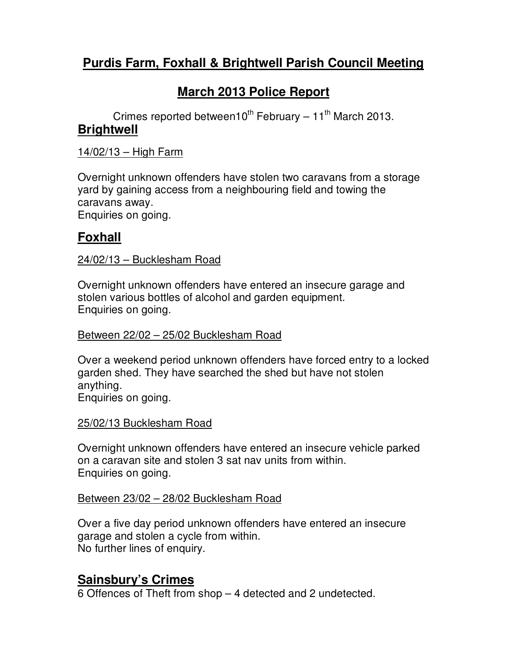# **Purdis Farm, Foxhall & Brightwell Parish Council Meeting**

# **March 2013 Police Report**

Crimes reported between10<sup>th</sup> February – 11<sup>th</sup> March 2013. **Brightwell** 

14/02/13 – High Farm

Overnight unknown offenders have stolen two caravans from a storage yard by gaining access from a neighbouring field and towing the caravans away. Enquiries on going.

# **Foxhall**

# 24/02/13 – Bucklesham Road

Overnight unknown offenders have entered an insecure garage and stolen various bottles of alcohol and garden equipment. Enquiries on going.

### Between 22/02 – 25/02 Bucklesham Road

Over a weekend period unknown offenders have forced entry to a locked garden shed. They have searched the shed but have not stolen anything. Enquiries on going.

### 25/02/13 Bucklesham Road

Overnight unknown offenders have entered an insecure vehicle parked on a caravan site and stolen 3 sat nav units from within. Enquiries on going.

# Between 23/02 – 28/02 Bucklesham Road

Over a five day period unknown offenders have entered an insecure garage and stolen a cycle from within. No further lines of enquiry.

# **Sainsbury's Crimes**

6 Offences of Theft from shop – 4 detected and 2 undetected.